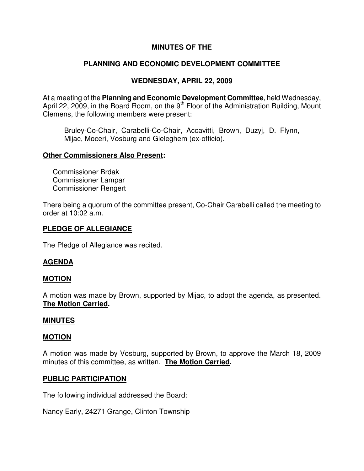# **MINUTES OF THE**

# **PLANNING AND ECONOMIC DEVELOPMENT COMMITTEE**

# **WEDNESDAY, APRIL 22, 2009**

At a meeting of the **Planning and Economic Development Committee**, held Wednesday, April 22, 2009, in the Board Room, on the  $9<sup>th</sup>$  Floor of the Administration Building, Mount Clemens, the following members were present:

Bruley-Co-Chair, Carabelli-Co-Chair, Accavitti, Brown, Duzyj, D. Flynn, Mijac, Moceri, Vosburg and Gieleghem (ex-officio).

#### **Other Commissioners Also Present:**

 Commissioner Brdak Commissioner Lampar Commissioner Rengert

There being a quorum of the committee present, Co-Chair Carabelli called the meeting to order at 10:02 a.m.

### **PLEDGE OF ALLEGIANCE**

The Pledge of Allegiance was recited.

### **AGENDA**

### **MOTION**

A motion was made by Brown, supported by Mijac, to adopt the agenda, as presented. **The Motion Carried.** 

#### **MINUTES**

#### **MOTION**

A motion was made by Vosburg, supported by Brown, to approve the March 18, 2009 minutes of this committee, as written. **The Motion Carried.** 

### **PUBLIC PARTICIPATION**

The following individual addressed the Board:

Nancy Early, 24271 Grange, Clinton Township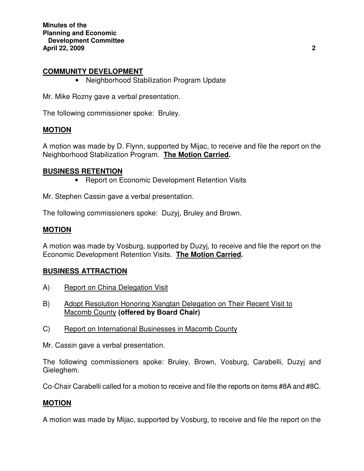**Minutes of the Planning and Economic Development Committee April 22, 2009 2** 

#### **COMMUNITY DEVELOPMENT**

• Neighborhood Stabilization Program Update

Mr. Mike Rozny gave a verbal presentation.

The following commissioner spoke: Bruley.

#### **MOTION**

A motion was made by D. Flynn, supported by Mijac, to receive and file the report on the Neighborhood Stabilization Program. **The Motion Carried.** 

#### **BUSINESS RETENTION**

• Report on Economic Development Retention Visits

Mr. Stephen Cassin gave a verbal presentation.

The following commissioners spoke: Duzyj, Bruley and Brown.

#### **MOTION**

A motion was made by Vosburg, supported by Duzyj, to receive and file the report on the Economic Development Retention Visits. **The Motion Carried.** 

### **BUSINESS ATTRACTION**

- A) Report on China Delegation Visit
- B) Adopt Resolution Honoring Xiangtan Delegation on Their Recent Visit to Macomb County **(offered by Board Chair)**
- C) Report on International Businesses in Macomb County

Mr. Cassin gave a verbal presentation.

The following commissioners spoke: Bruley, Brown, Vosburg, Carabelli, Duzyj and Gieleghem.

Co-Chair Carabelli called for a motion to receive and file the reports on items #8A and #8C.

#### **MOTION**

A motion was made by Mijac, supported by Vosburg, to receive and file the report on the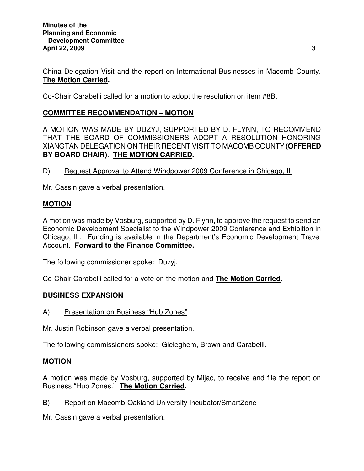China Delegation Visit and the report on International Businesses in Macomb County. **The Motion Carried.** 

Co-Chair Carabelli called for a motion to adopt the resolution on item #8B.

# **COMMITTEE RECOMMENDATION – MOTION**

A MOTION WAS MADE BY DUZYJ, SUPPORTED BY D. FLYNN, TO RECOMMEND THAT THE BOARD OF COMMISSIONERS ADOPT A RESOLUTION HONORING XIANGTAN DELEGATION ON THEIR RECENT VISIT TO MACOMB COUNTY **(OFFERED BY BOARD CHAIR)**. **THE MOTION CARRIED.** 

D) Request Approval to Attend Windpower 2009 Conference in Chicago, IL

Mr. Cassin gave a verbal presentation.

## **MOTION**

A motion was made by Vosburg, supported by D. Flynn, to approve the request to send an Economic Development Specialist to the Windpower 2009 Conference and Exhibition in Chicago, IL. Funding is available in the Department's Economic Development Travel Account. **Forward to the Finance Committee.** 

The following commissioner spoke: Duzyj.

Co-Chair Carabelli called for a vote on the motion and **The Motion Carried.** 

### **BUSINESS EXPANSION**

A) Presentation on Business "Hub Zones"

Mr. Justin Robinson gave a verbal presentation.

The following commissioners spoke: Gieleghem, Brown and Carabelli.

### **MOTION**

A motion was made by Vosburg, supported by Mijac, to receive and file the report on Business "Hub Zones." **The Motion Carried.** 

### B) Report on Macomb-Oakland University Incubator/SmartZone

Mr. Cassin gave a verbal presentation.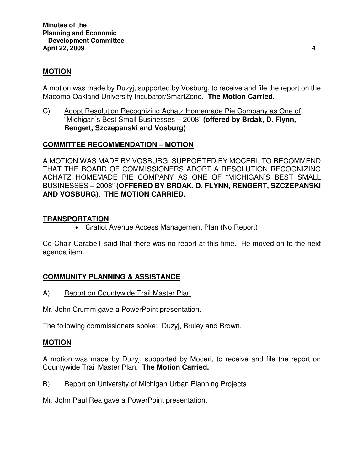# **MOTION**

A motion was made by Duzyj, supported by Vosburg, to receive and file the report on the Macomb-Oakland University Incubator/SmartZone. **The Motion Carried.** 

C) Adopt Resolution Recognizing Achatz Homemade Pie Company as One of "Michigan's Best Small Businesses – 2008" **(offered by Brdak, D. Flynn, Rengert, Szczepanski and Vosburg)** 

# **COMMITTEE RECOMMENDATION – MOTION**

A MOTION WAS MADE BY VOSBURG, SUPPORTED BY MOCERI, TO RECOMMEND THAT THE BOARD OF COMMISSIONERS ADOPT A RESOLUTION RECOGNIZING ACHATZ HOMEMADE PIE COMPANY AS ONE OF "MICHIGAN'S BEST SMALL BUSINESSES – 2008" **(OFFERED BY BRDAK, D. FLYNN, RENGERT, SZCZEPANSKI AND VOSBURG)**. **THE MOTION CARRIED.** 

## **TRANSPORTATION**

• Gratiot Avenue Access Management Plan (No Report)

Co-Chair Carabelli said that there was no report at this time. He moved on to the next agenda item.

# **COMMUNITY PLANNING & ASSISTANCE**

A) Report on Countywide Trail Master Plan

Mr. John Crumm gave a PowerPoint presentation.

The following commissioners spoke: Duzyj, Bruley and Brown.

### **MOTION**

A motion was made by Duzyj, supported by Moceri, to receive and file the report on Countywide Trail Master Plan. **The Motion Carried.** 

B) Report on University of Michigan Urban Planning Projects

Mr. John Paul Rea gave a PowerPoint presentation.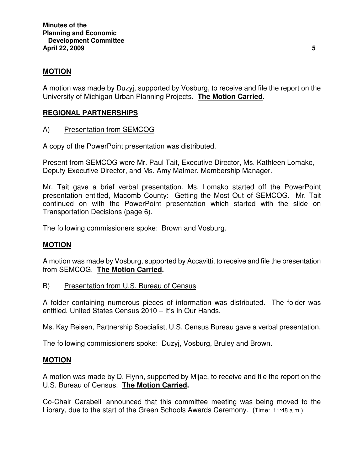# **MOTION**

A motion was made by Duzyj, supported by Vosburg, to receive and file the report on the University of Michigan Urban Planning Projects. **The Motion Carried.** 

## **REGIONAL PARTNERSHIPS**

A) Presentation from SEMCOG

A copy of the PowerPoint presentation was distributed.

Present from SEMCOG were Mr. Paul Tait, Executive Director, Ms. Kathleen Lomako, Deputy Executive Director, and Ms. Amy Malmer, Membership Manager.

Mr. Tait gave a brief verbal presentation. Ms. Lomako started off the PowerPoint presentation entitled, Macomb County: Getting the Most Out of SEMCOG. Mr. Tait continued on with the PowerPoint presentation which started with the slide on Transportation Decisions (page 6).

The following commissioners spoke: Brown and Vosburg.

### **MOTION**

A motion was made by Vosburg, supported by Accavitti, to receive and file the presentation from SEMCOG. **The Motion Carried.** 

B) Presentation from U.S. Bureau of Census

A folder containing numerous pieces of information was distributed. The folder was entitled, United States Census 2010 – It's In Our Hands.

Ms. Kay Reisen, Partnership Specialist, U.S. Census Bureau gave a verbal presentation.

The following commissioners spoke: Duzyj, Vosburg, Bruley and Brown.

### **MOTION**

A motion was made by D. Flynn, supported by Mijac, to receive and file the report on the U.S. Bureau of Census. **The Motion Carried.** 

Co-Chair Carabelli announced that this committee meeting was being moved to the Library, due to the start of the Green Schools Awards Ceremony. (Time: 11:48 a.m.)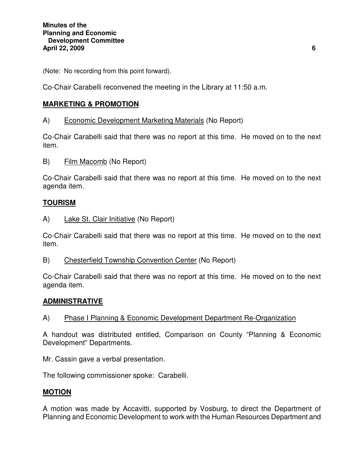(Note: No recording from this point forward).

Co-Chair Carabelli reconvened the meeting in the Library at 11:50 a.m.

# **MARKETING & PROMOTION**

A) Economic Development Marketing Materials (No Report)

Co-Chair Carabelli said that there was no report at this time. He moved on to the next item.

B) Film Macomb (No Report)

Co-Chair Carabelli said that there was no report at this time. He moved on to the next agenda item.

# **TOURISM**

A) Lake St. Clair Initiative (No Report)

Co-Chair Carabelli said that there was no report at this time. He moved on to the next item.

B) Chesterfield Township Convention Center (No Report)

Co-Chair Carabelli said that there was no report at this time. He moved on to the next agenda item.

# **ADMINISTRATIVE**

A) Phase I Planning & Economic Development Department Re-Organization

A handout was distributed entitled, Comparison on County "Planning & Economic Development" Departments.

Mr. Cassin gave a verbal presentation.

The following commissioner spoke: Carabelli.

# **MOTION**

A motion was made by Accavitti, supported by Vosburg, to direct the Department of Planning and Economic Development to work with the Human Resources Department and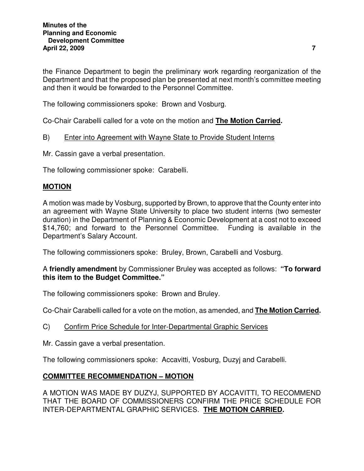the Finance Department to begin the preliminary work regarding reorganization of the Department and that the proposed plan be presented at next month's committee meeting and then it would be forwarded to the Personnel Committee.

The following commissioners spoke: Brown and Vosburg.

Co-Chair Carabelli called for a vote on the motion and **The Motion Carried.** 

### B) Enter into Agreement with Wayne State to Provide Student Interns

Mr. Cassin gave a verbal presentation.

The following commissioner spoke: Carabelli.

### **MOTION**

A motion was made by Vosburg, supported by Brown, to approve that the County enter into an agreement with Wayne State University to place two student interns (two semester duration) in the Department of Planning & Economic Development at a cost not to exceed \$14,760; and forward to the Personnel Committee. Funding is available in the Department's Salary Account.

The following commissioners spoke: Bruley, Brown, Carabelli and Vosburg.

### A **friendly amendment** by Commissioner Bruley was accepted as follows: **"To forward this item to the Budget Committee."**

The following commissioners spoke: Brown and Bruley.

Co-Chair Carabelli called for a vote on the motion, as amended, and **The Motion Carried.** 

C) Confirm Price Schedule for Inter-Departmental Graphic Services

Mr. Cassin gave a verbal presentation.

The following commissioners spoke: Accavitti, Vosburg, Duzyj and Carabelli.

# **COMMITTEE RECOMMENDATION – MOTION**

A MOTION WAS MADE BY DUZYJ, SUPPORTED BY ACCAVITTI, TO RECOMMEND THAT THE BOARD OF COMMISSIONERS CONFIRM THE PRICE SCHEDULE FOR INTER-DEPARTMENTAL GRAPHIC SERVICES. **THE MOTION CARRIED.**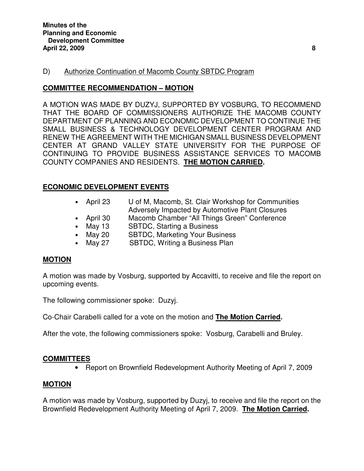#### D) Authorize Continuation of Macomb County SBTDC Program

#### **COMMITTEE RECOMMENDATION – MOTION**

A MOTION WAS MADE BY DUZYJ, SUPPORTED BY VOSBURG, TO RECOMMEND THAT THE BOARD OF COMMISSIONERS AUTHORIZE THE MACOMB COUNTY DEPARTMENT OF PLANNING AND ECONOMIC DEVELOPMENT TO CONTINUE THE SMALL BUSINESS & TECHNOLOGY DEVELOPMENT CENTER PROGRAM AND RENEW THE AGREEMENT WITH THE MICHIGAN SMALL BUSINESS DEVELOPMENT CENTER AT GRAND VALLEY STATE UNIVERSITY FOR THE PURPOSE OF CONTINUING TO PROVIDE BUSINESS ASSISTANCE SERVICES TO MACOMB COUNTY COMPANIES AND RESIDENTS. **THE MOTION CARRIED.** 

#### **ECONOMIC DEVELOPMENT EVENTS**  $\overline{\phantom{a}}$

- April 23 U of M, Macomb, St. Clair Workshop for Communities Adversely Impacted by Automotive Plant Closures
- April 30 Macomb Chamber "All Things Green" Conference
- May 13 SBTDC, Starting a Business
- May 20 SBTDC, Marketing Your Business
- May 27 SBTDC, Writing a Business Plan

### **MOTION**

A motion was made by Vosburg, supported by Accavitti, to receive and file the report on upcoming events.

The following commissioner spoke: Duzyj.

Co-Chair Carabelli called for a vote on the motion and **The Motion Carried.** 

After the vote, the following commissioners spoke: Vosburg, Carabelli and Bruley.

### **COMMITTEES**

• Report on Brownfield Redevelopment Authority Meeting of April 7, 2009

### **MOTION**

A motion was made by Vosburg, supported by Duzyj, to receive and file the report on the Brownfield Redevelopment Authority Meeting of April 7, 2009. **The Motion Carried.**